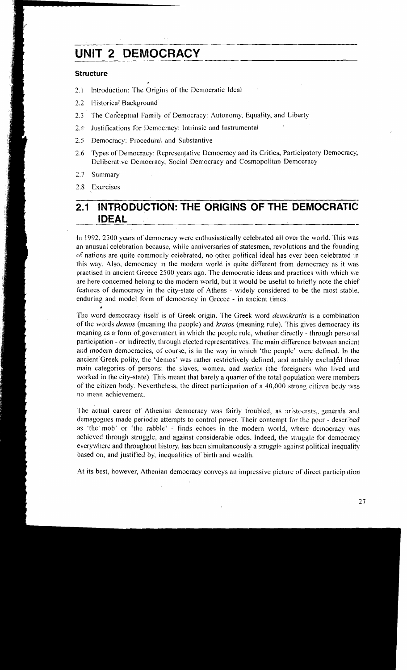# **UNIT 2 DEMOCRACY**

#### **Structure**

- 2.1 Introduction: The Origins of the Democratic Ideal
- 2.2 Historical Background
- 2.3 The Conceptual Family of Democracy: Autonomy, Equality, and Liberty
- 2.4. Justifications for Democracy: Intrinsic and Instrumental
- 2.5 Democracy: Procedural and Substantive
- 2.6 Types of Democracy: Representative Democracy and its Critics, Participatory Democracy, Deliberative Democracy, Social Democracy and Cosmopolitan Democracy
- 2.7 Summary

2.8 Exercises

#### **INTRODUCTION: THE ORIGINS OF THE DEMOCRATIC:**  $2.1$ **IDEAL**

In 1992, 2500 years of democracy were enthusiastically celebrated all over the world. This was an unusual celebration because, while anniversaries of statesmen, revolutions and the founding of nations are quite comlnonly celebrated. no other political ideal has ever been celebrated In this way. Also, democracy in the modern world is quite different from democracy as it was practised in ancient Greece 2500 years ago. The democratic ideas and practices with which we are here concerned belong to the modern world, but it would be useful to briefly note the chief features of democracy in the city-state of Athens - widely considered to be the most stable, enduring and model form of democracy in Greece - in ancient times.

The word democracy itself is of Greek origin. The Greek word *demokratio* is a combination of the words *demos* (meaning the people) and *kratos* (meaning rule). This gives democracy its meaning as a form of government in which the people rule, whether directly - through personal participation - or indirectly, through elected representatives. The main difference between ancient and modern democracies, of course, is in the way in which 'the people' were defined. In the ancient Greek polity, the 'demos' was rather restrictively defined, and notably excluded three main categories of persons: the slaves, women, and *metics* (the foreigners who lived and worked in the city-state). This meant that barely **a** quarter of the total population were members of the citizen body. Nevertheless, the direct participation of a 40,000 strong citizen body was no mean achievement.

The actual career of Athenian democracy was fairly troubled, as aristocrats, generals and demagogues made periodic attempts to control power. Their contempt for the poor - described as 'the mob' or 'the rabble' - finds echoes in the modern world, where democracy was achieved through struggle, and against considerable odds. Indeed, the struggle for democracy everywhere and throughout history, has been simultaneously a struggle- against political inequality based on, and justified by, inequalities of birth and wealth.

At its best, however, Athenian democracy conveys an impressive picture of direct participation

27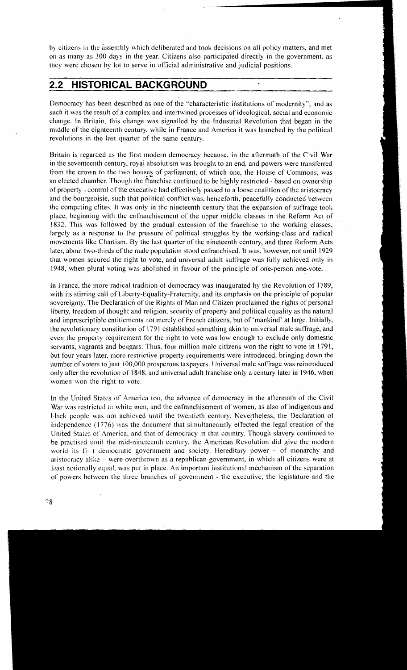by citizens in the assembly which deliberated and took decisions on all policy matters, and met on as many as 300 days in the year. Citizens also participated directly in the government, as they were chosen by lot to serve in official administrative and judicial positions.

# **2.2 HISTORICAL BACKGROUND**

Democracy has been described as one of the "characteristic institutions of modernity", and as such it was the result of a complex and intertwined processes of ideological, social and economic change. In Britain, this change was signalled by the Industrial Revolution that began in the middle of the eighteenth century, while in France and America it was launched by the political revolutions in the last quarter of the same century.

Britain is regarded as the first modern democracy because, in the aftermath of the Civil War in the seventeenth century, royal absolutism was brought to an end, and powers were transferred from the crown to the two houses of parliament, of which one, the House of Commons, was an elected chamber. Though the franchise continued to be highly restricted - based on ownership of property - control of-the executive had effectively passcd to a loose coalition of the aristocracy and the bourgeoisie, such that political conflict was, henceforth, peacefully conducted between the competing elites. It was only in the nineteenth century that the expansion of suffrage took place, beginning with the enfranchisement of the upper middle classes in the Reform Act of 1832. This was followed by the gradual extension of the franchise to the working classes, largely as a response to the pressure of political struggles by the working-class and radical movements like Chartism. By the last quarter of the nineteenth century, and three Reform Acts later, about two-thirds of the male population stood enfranchised. It was, however, not until 1929 that women secured the right to vote, and universal adult suffrage was fully achieved only in 1948, when plural voting was abolished in favour of the principle of one-person one-vote.

In France, the more radical tradition of democracy was inaugurated by the Revolution of 1789, with its stirring call of Liberty-Equality-Fraternity, and its emphasis on the principle of popular sovereignty. The Declaration of the Rights of Man and Citizen proclaimed the rights of personal liberty, freedom of thought and religion, security of property and political equality as the natural and imprescriptible entitlements not mercly of French citizens, but of 'mankind' at large. Initially, the revolutionary constitution of 179 1 established something akin to universal male suffrage, and even thc property requirement for the right to vote was low enough to exclude only domestic servants, vagrants and beggars. Thus, four million male citizens won the right to vote in 1791, but four years later. more restrictive property requirements were introduced, bringing down the number of voters to just 100,000 prosperous taxpayers. Universal male suffrage was reintroduced only after the revolution of 1848, and universal adult franchise only a century later in 1946, when women won the right to vote.

In the United States of America too, the advance of democracy in the aftermath of the Civil War was restricted to white men, and the enfranchisement of women, as also of indigenous and black people was not achieved until the twentieth century. Nevertheless, the Declaration of Independence (1776) was the document that simultaneously effected the legal creation of the United States of America, and that of democracy in that country. Though slavery continued to be practised until the mid-nineteenth century, the American Revolution did give the modern world its fig. t democratic government and society. Hereditary power - of monarchy and aristocracy alike - were overthrown as a republican government, in which all citizens were at least notionally equal, was put in place. An important institutional mechanism of the separation of powers between the three branches or government - thc execulive, the legislature and the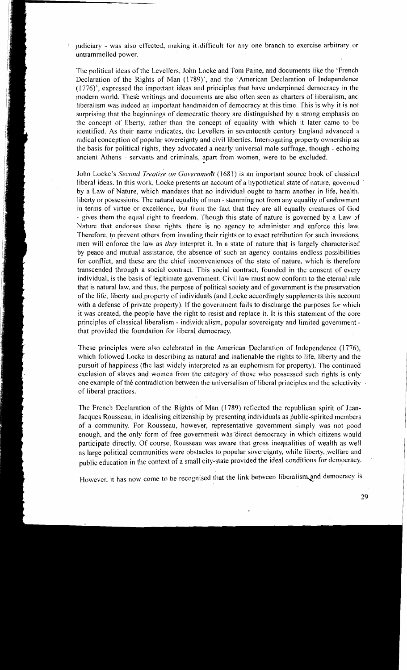judiciary - was also effected, making it difficult for any one branch to exercise arbitrary or untrammelled power.

The political ideas of the Levellers, John Locke and Tom Paine, and documents like the 'French Declaration of the Rights of Man (1789)', and the 'American Declaration of Independence (1776)', expressed the important ideas and principles that havc underpinned democracy in the modern world. These writings and documents are also often seen as charters of liberalism, and liberalism was indeed an important handmaiden of democracy at this time. This is why it is not surprising that the beginnings of democratic theory are distinguished by a strong emphasis on the concept of liberty, rather than the concept of equality with which it later came to be identified. As their name indicates, the Levellers in seventeenth century England advanced a radical conception of popular sovereignty and civil liberties. Interrogating property ownership as the basis for political rights, they advocated a nearly universal male suffrage, though - echoing ancient Athens - servants and criminals, apart from women, were to be excluded.

John Locke's Second *Treatise on Government* (1681) is an important source book of classical liberal ideas. In this work, Locke presents an account of a hypothetical state of nature, governed ' by a Law of Nature, which mandates that no individual ought to harm another in life, health, liberty or possessions. The natural equality of men - stemming not from any equality of endowment in terms of virtue or excellence, but from the fact that they are all equally creatures of God - gives them the equal right to freedom. Though this state of nature is governed by a Law of Nature that endorses these rights, there is no agency to administer and enforce this law. Therefore, to prevent others from invading their rights or to exact retribution for such invasions, men will enforce the law as *they* interpret it. In a state of nature that is largely characterised by peace and mutual assistance, the absence of such an agency contains endless possibilities for conflict, and these are the chief inconveniences of the state of nature, which is therefore transcended through a social contract. This social contract, founded in the consent of every individual, is the basis of legitimate government. Civil law rnust now conform to the eternal rule that is natural law, and thus, the purpose of political society and of government is the preservation of the life, liberty and property of individuals (and Locke accordingly supplements this account with a defense of private property). If the government fails to discharge the purposes for which it was created, the people have the right to resist and replace it. It is this statement of the core principles of classical liberalism - individualism, popular sovereignty and limited government that provided the foundation for liberal democracy.

These principles were also celebrated in the American Declaration of Independence  $(1776)$ , which followed Locke in describing as natural and inalienable the rights to life, liberty and the pursuit of happiness (the last widely interpreted as an euphemism for property). The continued exclusion of slaves and women from the category of those who posscsscd such rights is only one example of the contradiction between the universalism of liberal principles and the selectivity of liberal practices.

The French Declaration of the Rights of Man (1789) reflected the republican spirit of Jean-Jacques Rousseau, in idealising citizenship by presenting individuals as public-spirited members of a community. For Rousseau, however, representative government simply was not good enough, and the only form of free government was direct democracy in which citizens would participate directly. Of course, Rousseau was aware that gross inequalities of wealth as well as large political communities were obstacles to popular sovereignty, while liberty, welfare and public education in the context of a small city-state provided the ideal conditions for democracy.

However, it has now come to be recognised that the link between liberalism and democracy is

29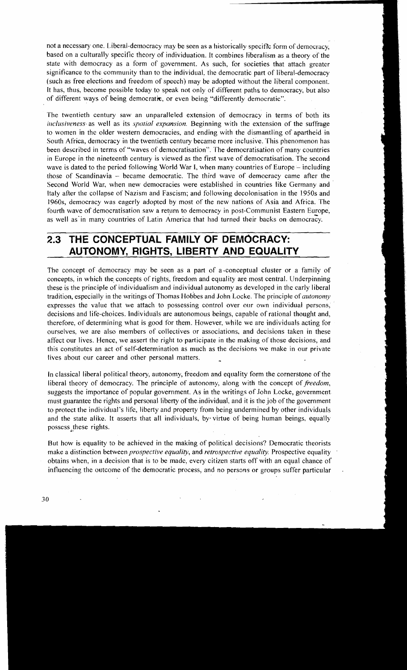not a necessary one. Liberal-democracy may be seen as a historically specific form of democracy, based on a culturally specific theory of individuation. It combines liberalism as a theory of the state with democracy as a form of government. As such, for societies that attach greater significance to the community than to the individual, the democratic part of liberal-democracy (such as free elections and freedom of speech) may be adopted without the liberal component. It has, thus, become possible today to speak not only of different paths to democracy, but also of different ways of being democratic, or even being "differently democratic".

The twentieth century saw an unparalleled extension of democracy in terms of both its inclusiveness as well as its *spotial expansion*. Beginning with the extension of the suffrage to women in the older western democracies, and ending with the dismantling of apartheid in South Africa, democracy in the twentieth century became more inclusive. This phenomenon has been described in terms of "waves of democratisation". The democratisation of many countries in Europe in the nineteenth century is viewed as the first wave of democratisation. The second wave is dated to the period following World War I, when many countries of Europe – including those of Scandinavia - became democratic. The third wave of democracy came after the Second World War, when new democracies were establislied in countries like Germany and ltaly after the collapse of Nazism and Fascism; and following decolonisation in the 1950s and 1960s, democracy was eagerly adopted by most of the new nations of Asia and Africa. The fourth wave of democratisation saw a return to democracy in post-Conimunist Eastern Europe, as well as'in many countries of Latin America that had turned their backs on democrazy.

## **2.3 THE CONCEPTUAL FAMILY OF DEMOCRACY: AUTONOMY, RIGHTS, LIBERTY AND EQUALITY**

The concept of democracy may be seen as a part of a conceptual cluster or a family of concepts, in which the concepts of rights, freedom and equality are most central. Underpinning these is the principle of individualism and individual autonomy as developed in the early liberal tradition, especially in the writings of Thomas Hobbes and John Locke. The principle of *autonomy* expresses the value that we attach to possessing control over our own individual persons, decisions and life-choices. Individuals are autonomous beings, capable of rational thouglit and, therefore, of determining what is good for them. However, while we are individuals acting for ourselves, we are also members of collectives or associations, and decisions taken in these affect our lives. Hence, we assert the right to participate in the making of those decisions, and this constitutes an act of self-determination as much as the decisions we make in our private lives about our career and other personal matters.

In classical liberal political theory, autonomy, freedom and equality form the cornerstone of the liberal theory of democracy. The principle of autonomy, along with the concept of freedom, suggests the importance of popular government. As in the writings of John Locke, government must guarantee the rights and personal liberty of the individual, and it is the job of the government to protect the individual's life, liberty and property from being undermined by other individuals and the state alike. It asserts that all individuals, by virtue of being human beings, equally possess these rights.

But how is equality to be achieved in the making of political decisions? Democratic theorists make a distinction between *prospective equality*, and *retrospective equality*. Prospective equality obtains when, in a decision that is to be made, every citizen starts off with an equal chance of influencing the outcome of the democratic process, and no persons or groups suffer particular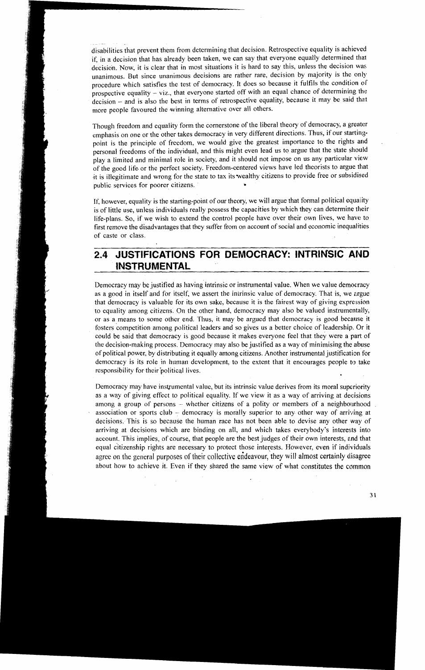disabilities that prevent them from determining that decision. Retrospective equality is achieved if, in a decision that has already been taken, we can say that everyone equally determined that decision. Now, it is clear that in most situations it is hard to say this, unless the decision was unanimous. But since unanimous decisions are rather rare, decision by majority is the only procedure which satisfies the test of democracy. It does so because it fulfils the condition of prospective equality  $-$  viz., that everyone started off with an equal chance of determining the decision - and is also the best in terms of retrospective equality, because it may be said that more people favoured the winning alternative over all others.

Though freedom and equality form the cornerstone of the liberal theory of democracy, a greater emphasis on one or the other takes democracy in very different directions. Thus, if our startingpoint is the principle of freedom, we would give the greatest importance to the rights and personal freedoms of the individual, and this might even lead us to argue that the state should play a limited and minimal role in society, and it should not impose on us any particular view of the good life. or the perfect society. Freedom-centered views have led theorists to argue that it is illegitimate and wrong for the state to tax itswealthy citizens to provide free or subsidised public services for poorer citizens.

If, however, equality is the starting-point of our theory, we will argue that formal political equality is of little use, unless individuals really possess the capacities by which they can determine their life-plans. So, if we wish to extend the control people have over their own lives, we have to first remove the disadvantages that they suffer from on account of social and economic inequalities of caste or class.

#### **JUSTIFICATIONS FOR DEMOCRACY: INTRINSIC AND**   $2.4$ **INSTRUMENTAL**

Democracy may be justified as having intrinsic or instrumental value. When we value democracy as a good in itself and for itself, we assert the inirinsic value of democracy. That is, we argue that democracy is valuable for its own sake, because it is the fairest way of giving expression to equality among citizens. On the other hand, democracy may also be valued instrumentally, or as a means to some other end. Thus, it may be argued that democracy is good because it fosters competition among political leaders and so gives us a better choice of leadership. Or it could be said that democracy is good because it makes everyone feel that they were a part of the decision-making process. Democracy may also be justified as a way of minimising the abuse of political power, by distributing it equally among citizens. Another instrumental justification for democracy is its role in human development, to the extent that it encourages people to take responsibility for their political lives.

Democracy may have instrumental value, but its intrinsic value derives from its moral superiority as a way of giving effect to political equality. If we view it as a way of arriving at decisions among a group of persons  $-$  whether citizens of a polity or members of a neighbourhood association or sports club - democracy is morally superior to any other way of arriving at decisions. This is so because the human race has not been able to devise any other way of arriving at decisions which are binding on all, and which takes everybody's interests into account. This implies, of course, that people are the best judges of their own interests, and that equal citizenship rights are necessary to protect those interests. However, even if individuals agree on the general purposes of their collective endeavour, they will almost certainly disagree about how to achieve it. Even if they shared the same view of what constitutes the common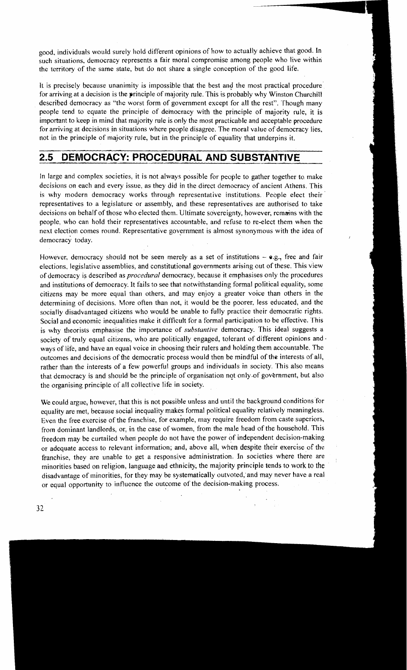good, individuals would surely hold different opinions of how to actually achieve that good. In such situations, democracy represents a fair moral compromise among people who live within the territory of the same state, but do not share a single conception of the good life.

It is precisely because unanimity is impossible that the best and the most practical procedure for arriving at a decision is the principle of majority rule. This is probably why Winston Churchill described democracy as "the worst form of government except for all the rest". Though many people tend to equate the principle of democracy with the principle of majority rule, it is important to keep in mind that majority rule is only the most practicable and acceptable procedure for arriving at decisions in situations where people disagree. The moral value of democracy lies, not in the principle of majority rule, but in the principle of equality that underpins it.

### **2.5 DEMOCRACY: PROCEDURAL AND SUBSTANTIVE**

In large and complex societies, it is not always possible for people to gather together to make decisions on each and every issue, as they did in the direct democracy of ancient Athens. This is why modern democracy works through representative institutions. People elect their representatives to a legislature or assembly, and these representatives are authorised to take decisions on behalf of those who elected them. Ultimate sovereignty, however, remains with the people, who can hold their representatives accountable, and refuse to re-elect them mhen the next election comes round. Representative government is almost synonymous with the idea of democracy today.

However, democracy should not be seen merely as a set of institutions –  $\mathbf{e}$ .g., free and fair elections, legislative assemblies, and constitutional governments arising out of these. This view of democracy is described as *procedural* democracy, because it emphasises only the procedures and institutions of democracy. It fails to see that notwithstanding formal political equality, some citizens may be more equal than others, and may enjoy a greater voice than others in the determining of decisions. More often than not, it would be the poorer, less educated, and the socially disadvantaged citizens who would be unable to fully practice their democratic rights. Social and economic inequalities make it difficult for a formal participation to be effective. This is why theorists emphasise the importance of *substantive* democracy. This ideal suggests a society of truly equal citizens, who are politically engaged, tolerant of different opinions and. ways of life, and have an equal voice in choosing their rulers and holding them accountable. The outcomes and decisions of the democratic process would then be mindful of the interests of all, rather than the interests of a few powerful groups and individuals in society. This also means that democracy is and should be the principle of organisation not only.of government, but also the organising principle of all collective life in society.

We could argue, however, that this is not possible unless and until the background conditions for equality are met, because social inequality makes formal political equality relatively meaningless. Even the free exercise of the franchise, for example, may require freedom from caste superiors, from dominant landlords, or, in the case of women, from the male head of the household. This freedom may be curtailed when people do not have the power of independent decision-making or adequate access to relevant information; and, above all, when despite their exercise of the franchise, they are unable to get a responsive administration. In societies where there are minorities based on religion, language and ethnicity, the majority principle tends to work to the disadvantage of minorities, for they may be systematically outvoted,'and may never have a real or equal opportunity to influence the outcome of the decision-making process.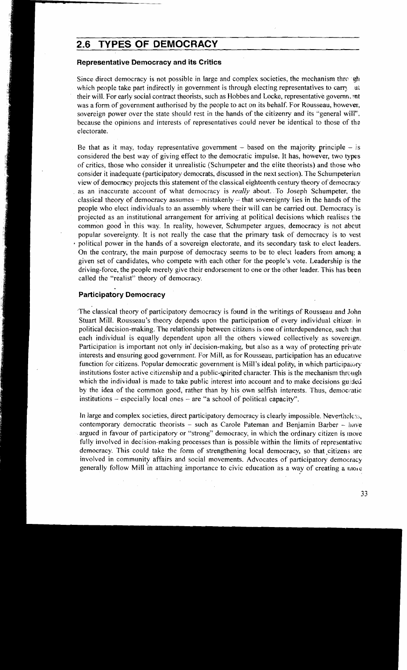### **2.6 TYPES OF DEMOCRACY**

#### **Representative Democracy and its Critics**

Since direct democracy is not possible in large and complex societies, the mechanism through which people take part indirectly in government is through electing representatives to carry at their will. For early social contract theorists, such as Hobbes and Locke, representative governn.<sup>9</sup>nt was a form of government authorised by the people to act on its behalf. For Rousseau, however, sovereign power over the state should rest in the hands of the citizenry and its "general will". because the opinions and interests of representatives could never be identical to those of the electorate.

Be that as it may, today representative government  $-$  based on the majority principle  $-$  is considered the best way of giving effect to the democratic impulse. It has, however, two types of critics, those who consider it unrealistic (Schumpeter and the elite theorists) and those who consider it inadequate (participatory democrats, discussed in the next section). The Schumpeteriein view of democracy projects this statement of the classical eighteenth century theory of democracy as an inaccurate account of what democracy is *really* about. To Joseph Schumpeter, the classical theory of democracy assumes – mistakenly – that sovereignty lies in the hands of the people who elect individuals to an assembly where their will can be carried out. Democracy is projected as an institutional arrangement for arriving at political decisions which realises the common good in this way. In reality, however, Schumpeter argues, democracy is not abcut popular sovereignty. It is not really the case that the primary task of democracy is to vest political power in the hands of a sovereign electorate, and its secondary task to elect leaders. On the contrary, the main purpose of democracy seems to be to elect leaders froin among a given set of candidates, who compete with each other for the people's vote. Leadership is ihe driving-force, the people merely give their endorsement to one or the other leader. This has been called the "realist" theory of democracy.

#### **Participatory Democracy**

The classical theory of participatory democracy is found in the writings of Rousseau and John Stuart Mill. Rousseau's theory depends upon the participation of every individual citizer in political decision-making. The relationship between citizens is one of interdependence, such 1.hat each individual is equally dependent upon all the others viewed collectively as sovereign. Participation is important not only in decision-making, but also as a way of protecting private interests and ensuring good government. For Mill, as for Rousseau, participation has an educative function for citizens. Popular democratic government is Mill's ideal polity, in which participatory institutions foster active citizenship and a public-spirited character. This is the mechanism through which the individual is made to take public interest into account and to make decisions guided by the idea of the common good, rather than by his own selfish interests. Thus, democratic institutions - especially local ones - are "a school of political capacity".

In large and complex societies, direct participatory democracy is clearly impossible. Nevertheless, contemporary democratic theorists  $-$  such as Carole Pateman and Benjamin Barber  $-$  have argued in favour of participatory or "strong" democracy, in which the ordinary citizen is more fully involved in decision-making processes than is possible within the limits of representative democracy. This could take the form of strengthening local democracy, so that citizens are involved in community affairs and social movements. Advocates of participatory democracy generally follow Mill in attaching importance to civic education as a way of creating a more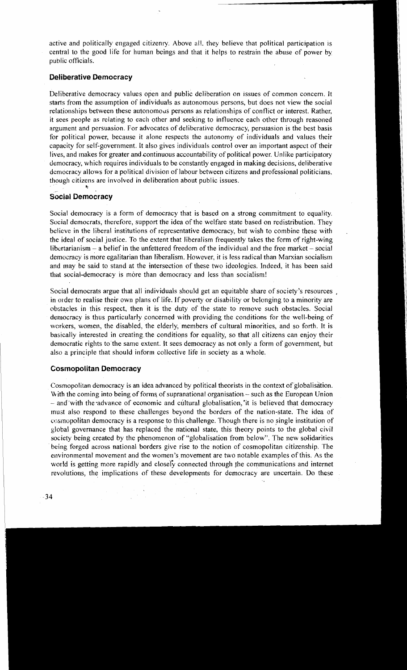active and politically engaged citizenry. Above all, they believe that political participation is central to the good life for human beings and that it helps to restrain the abuse of power by public officials.

#### **Deliberative Democracy**

Deliberative democracy values open and public deliberation on issues of common concern. It starts from the assumption of individuals as autonomous persons, but does not view the social relationships between these autonomous persons as relationships of conflict or interest. Rather, it sees people as relating to each other and seeking to influence each other through reasoned argument and persuasion. For advocates of deliberative democracy, persuasion is the best basis for political power, because it alone respects the autonomy of individuals and values their capacity for self-government. It also gives individuals control over an important aspect of their lives, and makes for greater and continuous accountability of political power. Unlike participatory democracy, which requires individuals to be constantly engaged in making decisions, deliberative democracy allows for a political division of labour between citizens and professional politicians, though citizens are involved in deliberation about public issues. **t** 

#### **Social Democracy**

Social democracy is a form of democracy that is based on a strong commitment to equality. Social democrats, therefore, support the idea of the welfare state based on redistribution. They believe in the liberal institutions of representative democracy, but wish to combine these with the ideal of social justice. To the extent that liberalism frequently takes the form of right-wing libertarianism  $-$  a belief in the unfettered freedom of the individual and the free market  $-$  social democracy is more egalitarian than liberalism. However, it is less radical than Marxian socialism and may be said to stand at the intersection of these two ideologies. Indeed, it has been said that social-democracy is more than democracy and less than socialism!

Social democrats argue that all individuals should get an equitable share of society's resources , in order to realise their own plans of life. If poverty or disability or belonging to a minority are cobstacles in this respect, then it is the duty of the state to remove such obstacles. Social democracy is thus particularly concerned with providing the conditions for the well-being of workers, women, the disabled, the elderly, members of cultural minorities, and so forth. It is basically interested in creating the conditions for equality, so that all citizens can enjoy their democratic rights to the same extent. It sees democracy as not only a form of government, but also a principle that should inform collective life in society as a whole.

#### **Cosmopolitan Democracy**

Cosmopolitan democracy is an idea advanced by political theorists in the context of globalisation. With the coming into being of forms of supranational organisation - such as the European Union - and with the advance of economic and cultural globalisation, it is believed that democracy must also respond to these challenges beyond the borders of the nation-state. The idea of cosmopolitan democracy is a response to this challenge. Though there is no single institution of global governance that has replaced the national state. this theory points to the global civil society being created by the phenomenon of "globalisation from below". The new solidarities being forged across national borders give rise to the notion of cosmopolitan citizenship. The environmental movement and the women's movement are two notable examples of this. As the world is getting more rapidly and closely connected through the communications and internet revolutions, the implications of these developments for democracy are uncertain. Do these